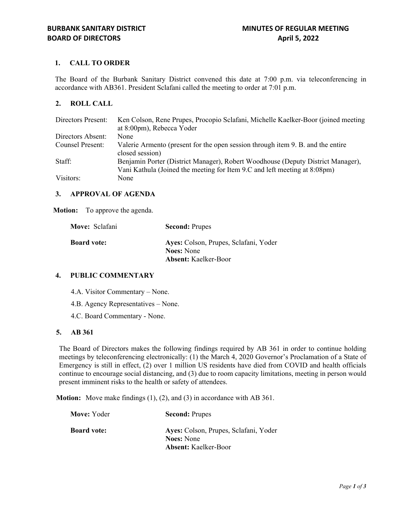# **1. CALL TO ORDER**

The Board of the Burbank Sanitary District convened this date at 7:00 p.m. via teleconferencing in accordance with AB361. President Sclafani called the meeting to order at 7:01 p.m.

## **2. ROLL CALL**

| Directors Present: | Ken Colson, Rene Prupes, Procopio Sclafani, Michelle Kaelker-Boor (joined meeting<br>at 8:00pm), Rebecca Yoder                                               |
|--------------------|--------------------------------------------------------------------------------------------------------------------------------------------------------------|
| Directors Absent:  | None                                                                                                                                                         |
| Counsel Present:   | Valerie Armento (present for the open session through item 9. B. and the entire<br>closed session)                                                           |
| Staff:             | Benjamin Porter (District Manager), Robert Woodhouse (Deputy District Manager),<br>Vani Kathula (Joined the meeting for Item 9.C and left meeting at 8:08pm) |
| Visitors:          | None                                                                                                                                                         |

### **3. APPROVAL OF AGENDA**

**Motion:** To approve the agenda.

| Move: Sclafani     | <b>Second: Prupes</b>                                      |
|--------------------|------------------------------------------------------------|
| <b>Board vote:</b> | Ayes: Colson, Prupes, Sclafani, Yoder<br><b>Noes:</b> None |
|                    | <b>Absent:</b> Kaelker-Boor                                |

## **4. PUBLIC COMMENTARY**

- 4.A. Visitor Commentary None.
- 4.B. Agency Representatives None.
- 4.C. Board Commentary None.

### **5. AB 361**

The Board of Directors makes the following findings required by AB 361 in order to continue holding meetings by teleconferencing electronically: (1) the March 4, 2020 Governor's Proclamation of a State of Emergency is still in effect, (2) over 1 million US residents have died from COVID and health officials continue to encourage social distancing, and (3) due to room capacity limitations, meeting in person would present imminent risks to the health or safety of attendees.

**Motion:** Move make findings (1), (2), and (3) in accordance with AB 361.

| Move: Yoder        | <b>Second: Prupes</b>                                      |
|--------------------|------------------------------------------------------------|
| <b>Board vote:</b> | Ayes: Colson, Prupes, Sclafani, Yoder<br><b>Noes:</b> None |
|                    | <b>Absent:</b> Kaelker-Boor                                |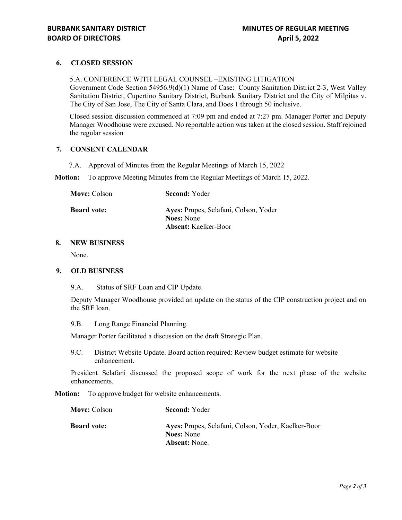## **6. CLOSED SESSION**

5.A. CONFERENCE WITH LEGAL COUNSEL –EXISTING LITIGATION Government Code Section 54956.9(d)(1) Name of Case: County Sanitation District 2-3, West Valley Sanitation District, Cupertino Sanitary District, Burbank Sanitary District and the City of Milpitas v. The City of San Jose, The City of Santa Clara, and Does 1 through 50 inclusive.

Closed session discussion commenced at 7:09 pm and ended at 7:27 pm. Manager Porter and Deputy Manager Woodhouse were excused. No reportable action was taken at the closed session. Staff rejoined the regular session

## **7. CONSENT CALENDAR**

7.A. Approval of Minutes from the Regular Meetings of March 15, 2022

**Motion:** To approve Meeting Minutes from the Regular Meetings of March 15, 2022.

| <b>Move:</b> Colson | <b>Second: Yoder</b>                                       |
|---------------------|------------------------------------------------------------|
| <b>Board vote:</b>  | Ayes: Prupes, Sclafani, Colson, Yoder<br><b>Noes:</b> None |
|                     | <b>Absent:</b> Kaelker-Boor                                |

## **8. NEW BUSINESS**

None.

### **9. OLD BUSINESS**

9.A. Status of SRF Loan and CIP Update.

Deputy Manager Woodhouse provided an update on the status of the CIP construction project and on the SRF loan.

9.B. Long Range Financial Planning.

Manager Porter facilitated a discussion on the draft Strategic Plan.

9.C. District Website Update. Board action required: Review budget estimate for website enhancement.

President Sclafani discussed the proposed scope of work for the next phase of the website enhancements.

**Motion:** To approve budget for website enhancements.

| <b>Move: Colson</b> | <b>Second: Yoder</b>                                                     |
|---------------------|--------------------------------------------------------------------------|
| <b>Board vote:</b>  | Ayes: Prupes, Sclafani, Colson, Yoder, Kaelker-Boor<br><b>Noes:</b> None |
|                     | <b>Absent:</b> None.                                                     |